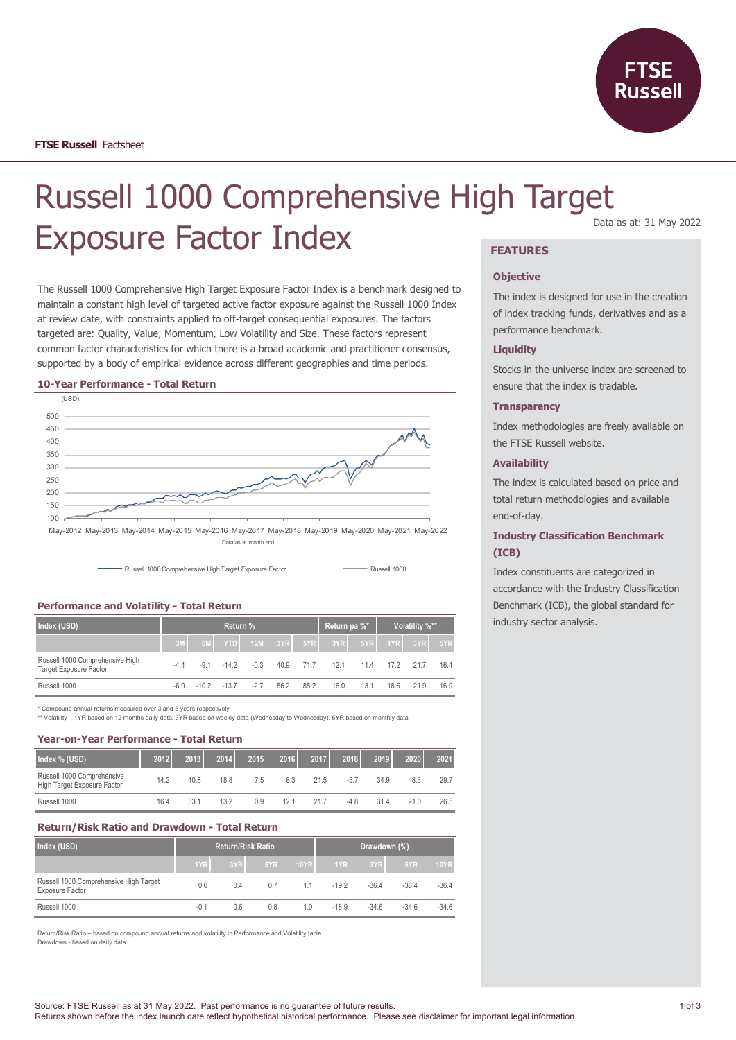

# Russell 1000 Comprehensive High Target Exposure Factor Index **FEATURES**

The Russell 1000 Comprehensive High Target Exposure Factor Index is a benchmark designed to maintain a constant high level of targeted active factor exposure against the Russell 1000 Index at review date, with constraints applied to off-target consequential exposures. The factors targeted are: Quality, Value, Momentum, Low Volatility and Size. These factors represent common factor characteristics for which there is a broad academic and practitioner consensus, supported by a body of empirical evidence across different geographies and time periods.

#### **10-Year Performance - Total Return**



May-2012 May-2013 May-2014 May-2015 May-2016 May-2017 May-2018 May-2019 May-2020 May-2021 May-2022 Data as at month end



# **Performance and Volatility - Total Return**

| Index (USD)                                                      | Return % |  |              |        |      |           | Return pa %*                   |      | Volatility %** |         |        |
|------------------------------------------------------------------|----------|--|--------------|--------|------|-----------|--------------------------------|------|----------------|---------|--------|
|                                                                  |          |  |              |        |      |           | 6M YTD 12M 3YR 5YR 3YR 5YR 5YR |      |                | 1YR 3YR | $-5YR$ |
| Russell 1000 Comprehensive High<br><b>Target Exposure Factor</b> | -44      |  | $-91 - 142$  | $-0.3$ |      | 40.9 71.7 | 12.1                           | 11.4 | 17.2           | 217     | 16.4   |
| Russell 1000                                                     | -60      |  | $-102 - 137$ | $-27$  | 56.2 | 85.2      | 16.0                           | 13.1 | 18.6           | 21.9    | 16.9   |

\* Compound annual returns measured over 3 and 5 years respectively

\*\* Volatility – 1YR based on 12 months daily data. 3YR based on weekly data (Wednesday to Wednesday). 5YR based on monthly data

#### **Year-on-Year Performance - Total Return**

| Index % (USD)                                             | 2012 | 2013 | 2014 | 2015 | 2016 | 2017 | 2018  | 2019 | 2020 | 2021 |
|-----------------------------------------------------------|------|------|------|------|------|------|-------|------|------|------|
| Russell 1000 Comprehensive<br>High Target Exposure Factor | 14.2 | 40.8 | 18.8 | 7.5  | 8.3  | 21.5 | $-57$ | 34.9 | 8.3  | 29.7 |
| Russell 1000                                              | 16.4 | 33.1 | 13.2 | 0.9  | 12.1 | 217  | -4.8  | 31.4 | 21.0 | 26.5 |

#### **Return/Risk Ratio and Drawdown - Total Return**

| Index (USD)                                                      | Return/Risk Ratio |     |     |      | Drawdown (%) |         |         |             |
|------------------------------------------------------------------|-------------------|-----|-----|------|--------------|---------|---------|-------------|
|                                                                  | 1YR               | 3YR | 5YR | 10YR | 1YR L        | 3YR     | 5YR     | <b>10YR</b> |
| Russell 1000 Comprehensive High Target<br><b>Exposure Factor</b> | 0.0               | 0.4 | 0.7 | 1.1  | $-192$       | $-36.4$ | $-36.4$ | $-36.4$     |
| Russell 1000                                                     | -0.1              | 0.6 | 0.8 | 1.0  | $-18.9$      | $-34.6$ | $-34.6$ | $-34.6$     |

Return/Risk Ratio – based on compound annual returns and volatility in Performance and Volatility table Drawdown - based on daily data

#### Data as at: 31 May 2022

#### **Objective**

The index is designed for use in the creation of index tracking funds, derivatives and as a performance benchmark.

## **Liquidity**

Stocks in the universe index are screened to ensure that the index is tradable.

#### **Transparency**

Index methodologies are freely available on the FTSE Russell website.

#### **Availability**

The index is calculated based on price and total return methodologies and available end-of-day.

## **Industry Classification Benchmark (ICB)**

Index constituents are categorized in accordance with the Industry Classification Benchmark (ICB), the global standard for industry sector analysis.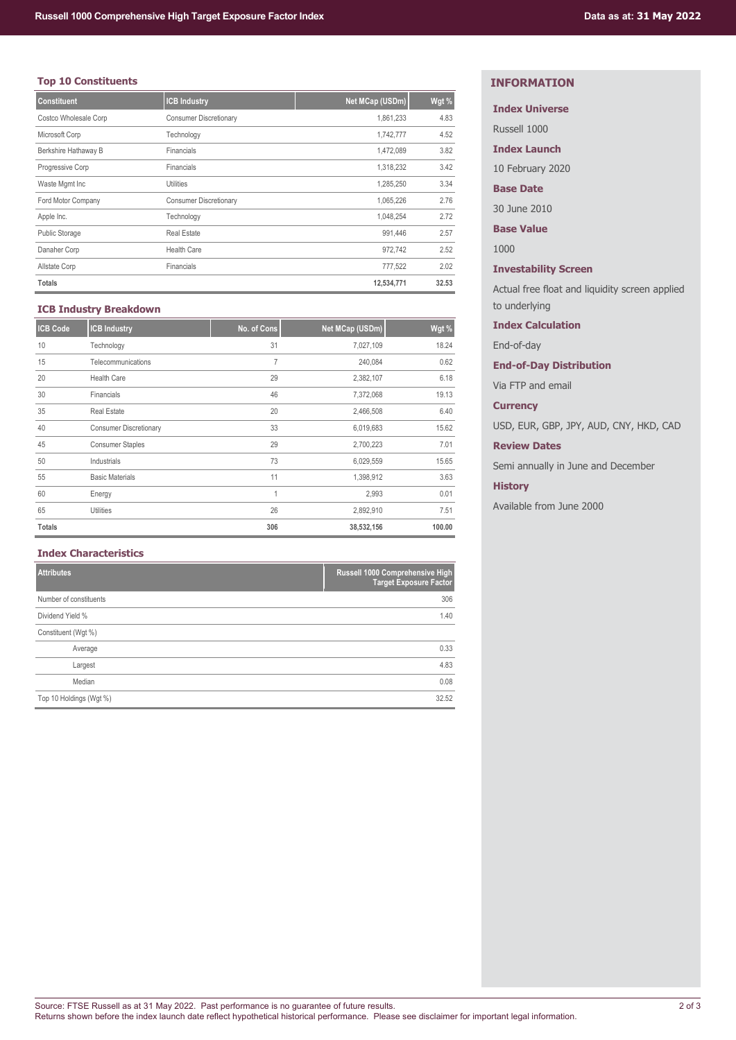# **Top 10 Constituents**

| <b>Constituent</b>    | <b>ICB Industry</b>           | Net MCap (USDm) | Wgt % |
|-----------------------|-------------------------------|-----------------|-------|
| Costco Wholesale Corp | <b>Consumer Discretionary</b> | 1,861,233       | 4.83  |
| Microsoft Corp        | Technology                    | 1,742,777       | 4.52  |
| Berkshire Hathaway B  | Financials                    | 1,472,089       | 3.82  |
| Progressive Corp      | Financials                    | 1,318,232       | 3.42  |
| Waste Mgmt Inc        | Utilities                     | 1,285,250       | 3.34  |
| Ford Motor Company    | <b>Consumer Discretionary</b> | 1,065,226       | 2.76  |
| Apple Inc.            | Technology                    | 1,048,254       | 2.72  |
| <b>Public Storage</b> | <b>Real Estate</b>            | 991,446         | 2.57  |
| Danaher Corp          | <b>Health Care</b>            | 972.742         | 2.52  |
| Allstate Corp         | Financials                    | 777,522         | 2.02  |
| <b>Totals</b>         |                               | 12,534,771      | 32.53 |

## **ICB Industry Breakdown**

| <b>ICB Code</b> | <b>ICB Industry</b>           | No. of Cons | Net MCap (USDm) | Wgt %  |
|-----------------|-------------------------------|-------------|-----------------|--------|
| 10              | Technology                    | 31          | 7,027,109       | 18.24  |
| 15              | Telecommunications            | 7           | 240,084         | 0.62   |
| 20              | <b>Health Care</b>            | 29          | 2,382,107       | 6.18   |
| 30              | Financials                    | 46          | 7,372,068       | 19.13  |
| 35              | <b>Real Estate</b>            | 20          | 2,466,508       | 6.40   |
| 40              | <b>Consumer Discretionary</b> | 33          | 6,019,683       | 15.62  |
| 45              | <b>Consumer Staples</b>       | 29          | 2,700,223       | 7.01   |
| 50              | Industrials                   | 73          | 6,029,559       | 15.65  |
| 55              | <b>Basic Materials</b>        | 11          | 1,398,912       | 3.63   |
| 60              | Energy                        | 1           | 2,993           | 0.01   |
| 65              | <b>Utilities</b>              | 26          | 2,892,910       | 7.51   |
| <b>Totals</b>   |                               | 306         | 38,532,156      | 100.00 |

# **Index Characteristics**

| <b>Attributes</b>       | Russell 1000 Comprehensive High<br><b>Target Exposure Factor</b> |
|-------------------------|------------------------------------------------------------------|
| Number of constituents  | 306                                                              |
| Dividend Yield %        | 1.40                                                             |
| Constituent (Wgt %)     |                                                                  |
| Average                 | 0.33                                                             |
| Largest                 | 4.83                                                             |
| Median                  | 0.08                                                             |
| Top 10 Holdings (Wgt %) | 32.52                                                            |

# **INFORMATION**

# **Index Universe**

Russell 1000

**Index Launch**

10 February 2020

# **Base Date**

30 June 2010

**Base Value**

1000

# **Investability Screen**

Actual free float and liquidity screen applied to underlying

#### **Index Calculation**

End-of-day

# **End-of-Day Distribution**

Via FTP and email

#### **Currency**

USD, EUR, GBP, JPY, AUD, CNY, HKD, CAD

# **Review Dates**

Semi annually in June and December

# **History**

Available from June 2000